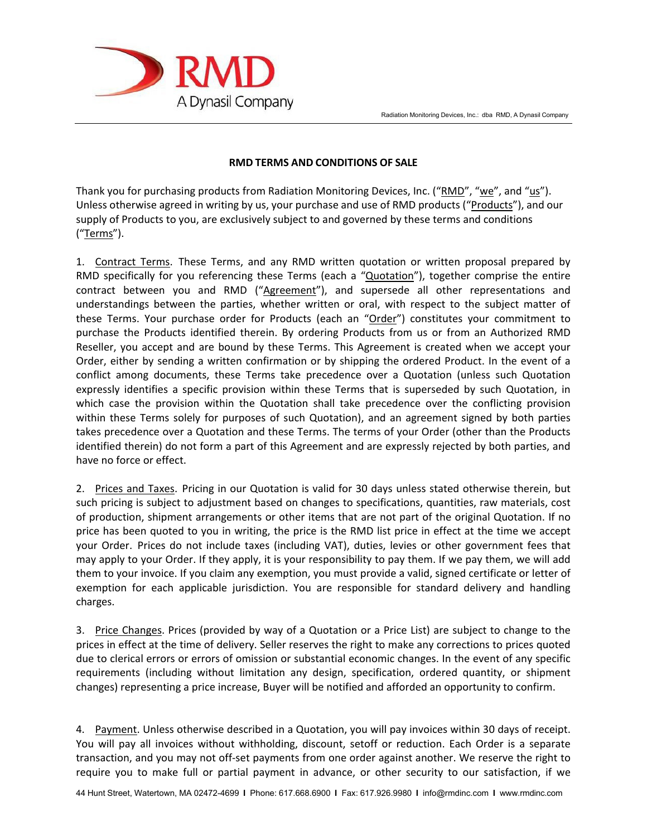

## **RMD TERMS AND CONDITIONS OF SALE**

Thank you for purchasing products from Radiation Monitoring Devices, Inc. ("RMD", "we", and "us"). Unless otherwise agreed in writing by us, your purchase and use of RMD products ("Products"), and our supply of Products to you, are exclusively subject to and governed by these terms and conditions ("Terms").

1. Contract Terms. These Terms, and any RMD written quotation or written proposal prepared by RMD specifically for you referencing these Terms (each a "Quotation"), together comprise the entire contract between you and RMD ("Agreement"), and supersede all other representations and understandings between the parties, whether written or oral, with respect to the subject matter of these Terms. Your purchase order for Products (each an "Order") constitutes your commitment to purchase the Products identified therein. By ordering Products from us or from an Authorized RMD Reseller, you accept and are bound by these Terms. This Agreement is created when we accept your Order, either by sending a written confirmation or by shipping the ordered Product. In the event of a conflict among documents, these Terms take precedence over a Quotation (unless such Quotation expressly identifies a specific provision within these Terms that is superseded by such Quotation, in which case the provision within the Quotation shall take precedence over the conflicting provision within these Terms solely for purposes of such Quotation), and an agreement signed by both parties takes precedence over a Quotation and these Terms. The terms of your Order (other than the Products identified therein) do not form a part of this Agreement and are expressly rejected by both parties, and have no force or effect.

2. Prices and Taxes. Pricing in our Quotation is valid for 30 days unless stated otherwise therein, but such pricing is subject to adjustment based on changes to specifications, quantities, raw materials, cost of production, shipment arrangements or other items that are not part of the original Quotation. If no price has been quoted to you in writing, the price is the RMD list price in effect at the time we accept your Order. Prices do not include taxes (including VAT), duties, levies or other government fees that may apply to your Order. If they apply, it is your responsibility to pay them. If we pay them, we will add them to your invoice. If you claim any exemption, you must provide a valid, signed certificate or letter of exemption for each applicable jurisdiction. You are responsible for standard delivery and handling charges.

3. Price Changes. Prices (provided by way of a Quotation or a Price List) are subject to change to the prices in effect at the time of delivery. Seller reserves the right to make any corrections to prices quoted due to clerical errors or errors of omission or substantial economic changes. In the event of any specific requirements (including without limitation any design, specification, ordered quantity, or shipment changes) representing a price increase, Buyer will be notified and afforded an opportunity to confirm.

4. Payment. Unless otherwise described in a Quotation, you will pay invoices within 30 days of receipt. You will pay all invoices without withholding, discount, setoff or reduction. Each Order is a separate transaction, and you may not off-set payments from one order against another. We reserve the right to require you to make full or partial payment in advance, or other security to our satisfaction, if we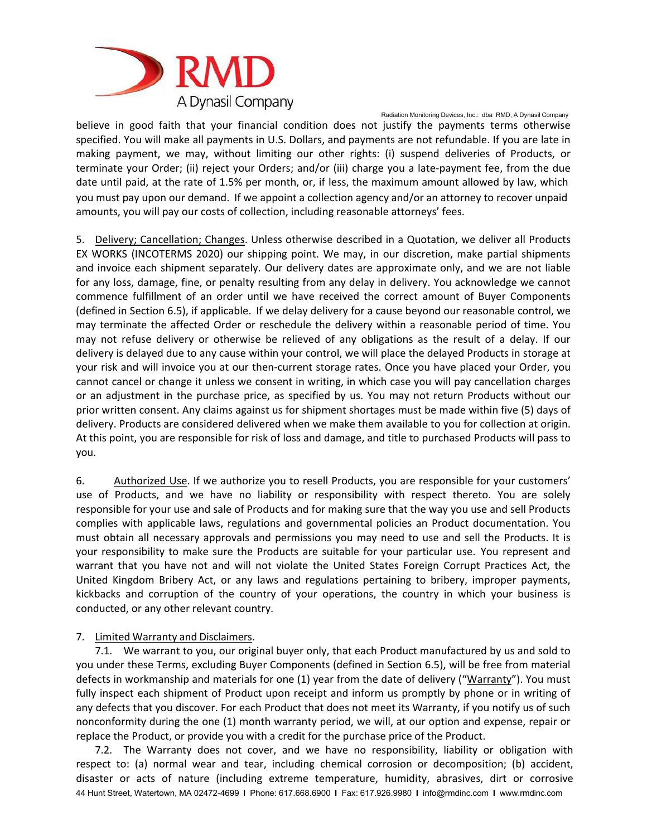

believe in good faith that your financial condition does not justify the payments terms otherwise specified. You will make all payments in U.S. Dollars, and payments are not refundable. If you are late in making payment, we may, without limiting our other rights: (i) suspend deliveries of Products, or terminate your Order; (ii) reject your Orders; and/or (iii) charge you a late-payment fee, from the due date until paid, at the rate of 1.5% per month, or, if less, the maximum amount allowed by law, which you must pay upon our demand. If we appoint a collection agency and/or an attorney to recover unpaid amounts, you will pay our costs of collection, including reasonable attorneys' fees.

5. Delivery; Cancellation; Changes. Unless otherwise described in a Quotation, we deliver all Products EX WORKS (INCOTERMS 2020) our shipping point. We may, in our discretion, make partial shipments and invoice each shipment separately. Our delivery dates are approximate only, and we are not liable for any loss, damage, fine, or penalty resulting from any delay in delivery. You acknowledge we cannot commence fulfillment of an order until we have received the correct amount of Buyer Components (defined in Section 6.5), if applicable. If we delay delivery for a cause beyond our reasonable control, we may terminate the affected Order or reschedule the delivery within a reasonable period of time. You may not refuse delivery or otherwise be relieved of any obligations as the result of a delay. If our delivery is delayed due to any cause within your control, we will place the delayed Products in storage at your risk and will invoice you at our then-current storage rates. Once you have placed your Order, you cannot cancel or change it unless we consent in writing, in which case you will pay cancellation charges or an adjustment in the purchase price, as specified by us. You may not return Products without our prior written consent. Any claims against us for shipment shortages must be made within five (5) days of delivery. Products are considered delivered when we make them available to you for collection at origin. At this point, you are responsible for risk of loss and damage, and title to purchased Products will pass to you.

6. Authorized Use. If we authorize you to resell Products, you are responsible for your customers' use of Products, and we have no liability or responsibility with respect thereto. You are solely responsible for your use and sale of Products and for making sure that the way you use and sell Products complies with applicable laws, regulations and governmental policies an Product documentation. You must obtain all necessary approvals and permissions you may need to use and sell the Products. It is your responsibility to make sure the Products are suitable for your particular use. You represent and warrant that you have not and will not violate the United States Foreign Corrupt Practices Act, the United Kingdom Bribery Act, or any laws and regulations pertaining to bribery, improper payments, kickbacks and corruption of the country of your operations, the country in which your business is conducted, or any other relevant country.

## 7. Limited Warranty and Disclaimers.

7.1. We warrant to you, our original buyer only, that each Product manufactured by us and sold to you under these Terms, excluding Buyer Components (defined in Section 6.5), will be free from material defects in workmanship and materials for one (1) year from the date of delivery ("Warranty"). You must fully inspect each shipment of Product upon receipt and inform us promptly by phone or in writing of any defects that you discover. For each Product that does not meet its Warranty, if you notify us of such nonconformity during the one (1) month warranty period, we will, at our option and expense, repair or replace the Product, or provide you with a credit for the purchase price of the Product.

44 Hunt Street, Watertown, MA 02472-4699 **I** Phone: 617.668.6900 **I** Fax: 617.926.9980 **I** [info@rmdinc.com](mailto:info@rmdinc.com) **I** [www.rmdinc.com](http://www.rmdinc.com/) 7.2. The Warranty does not cover, and we have no responsibility, liability or obligation with respect to: (a) normal wear and tear, including chemical corrosion or decomposition; (b) accident, disaster or acts of nature (including extreme temperature, humidity, abrasives, dirt or corrosive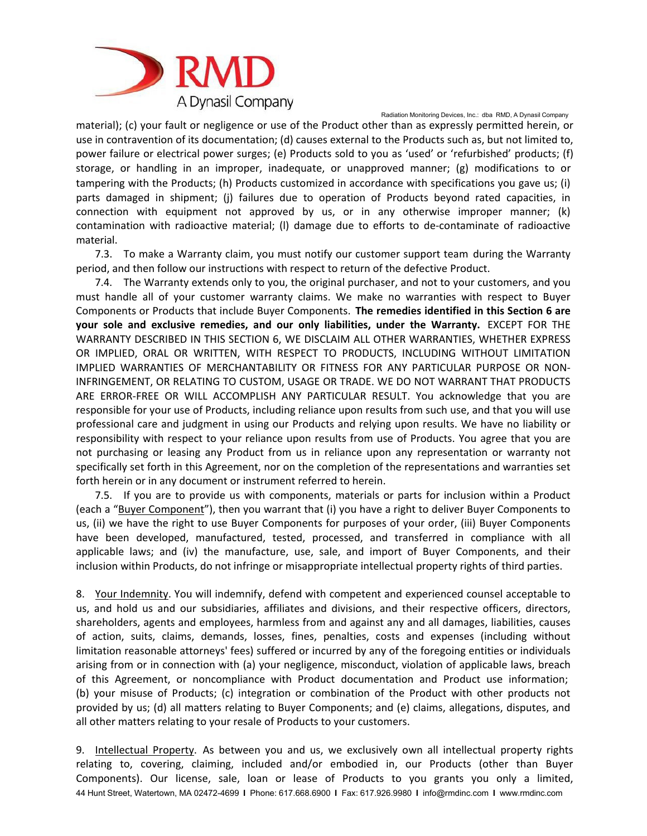

material); (c) your fault or negligence or use of the Product other than as expressly permitted herein, or use in contravention of its documentation; (d) causes external to the Products such as, but not limited to, power failure or electrical power surges; (e) Products sold to you as 'used' or 'refurbished' products; (f) storage, or handling in an improper, inadequate, or unapproved manner; (g) modifications to or tampering with the Products; (h) Products customized in accordance with specifications you gave us; (i) parts damaged in shipment; (j) failures due to operation of Products beyond rated capacities, in connection with equipment not approved by us, or in any otherwise improper manner; (k) contamination with radioactive material; (l) damage due to efforts to de-contaminate of radioactive material.

7.3. To make a Warranty claim, you must notify our customer support team during the Warranty period, and then follow our instructions with respect to return of the defective Product.

7.4. The Warranty extends only to you, the original purchaser, and not to your customers, and you must handle all of your customer warranty claims. We make no warranties with respect to Buyer Components or Products that include Buyer Components. **The remedies identified in this Section 6 are your sole and exclusive remedies, and our only liabilities, under the Warranty.** EXCEPT FOR THE WARRANTY DESCRIBED IN THIS SECTION 6, WE DISCLAIM ALL OTHER WARRANTIES, WHETHER EXPRESS OR IMPLIED, ORAL OR WRITTEN, WITH RESPECT TO PRODUCTS, INCLUDING WITHOUT LIMITATION IMPLIED WARRANTIES OF MERCHANTABILITY OR FITNESS FOR ANY PARTICULAR PURPOSE OR NON-INFRINGEMENT, OR RELATING TO CUSTOM, USAGE OR TRADE. WE DO NOT WARRANT THAT PRODUCTS ARE ERROR-FREE OR WILL ACCOMPLISH ANY PARTICULAR RESULT. You acknowledge that you are responsible for your use of Products, including reliance upon results from such use, and that you will use professional care and judgment in using our Products and relying upon results. We have no liability or responsibility with respect to your reliance upon results from use of Products. You agree that you are not purchasing or leasing any Product from us in reliance upon any representation or warranty not specifically set forth in this Agreement, nor on the completion of the representations and warranties set forth herein or in any document or instrument referred to herein.

7.5. If you are to provide us with components, materials or parts for inclusion within a Product (each a "Buyer Component"), then you warrant that (i) you have a right to deliver Buyer Components to us, (ii) we have the right to use Buyer Components for purposes of your order, (iii) Buyer Components have been developed, manufactured, tested, processed, and transferred in compliance with all applicable laws; and (iv) the manufacture, use, sale, and import of Buyer Components, and their inclusion within Products, do not infringe or misappropriate intellectual property rights of third parties.

8. Your Indemnity. You will indemnify, defend with competent and experienced counsel acceptable to us, and hold us and our subsidiaries, affiliates and divisions, and their respective officers, directors, shareholders, agents and employees, harmless from and against any and all damages, liabilities, causes of action, suits, claims, demands, losses, fines, penalties, costs and expenses (including without limitation reasonable attorneys' fees) suffered or incurred by any of the foregoing entities or individuals arising from or in connection with (a) your negligence, misconduct, violation of applicable laws, breach of this Agreement, or noncompliance with Product documentation and Product use information; (b) your misuse of Products; (c) integration or combination of the Product with other products not provided by us; (d) all matters relating to Buyer Components; and (e) claims, allegations, disputes, and all other matters relating to your resale of Products to your customers.

44 Hunt Street, Watertown, MA 02472-4699 **I** Phone: 617.668.6900 **I** Fax: 617.926.9980 **I** [info@rmdinc.com](mailto:info@rmdinc.com) **I** [www.rmdinc.com](http://www.rmdinc.com/) 9. Intellectual Property. As between you and us, we exclusively own all intellectual property rights relating to, covering, claiming, included and/or embodied in, our Products (other than Buyer Components). Our license, sale, loan or lease of Products to you grants you only a limited,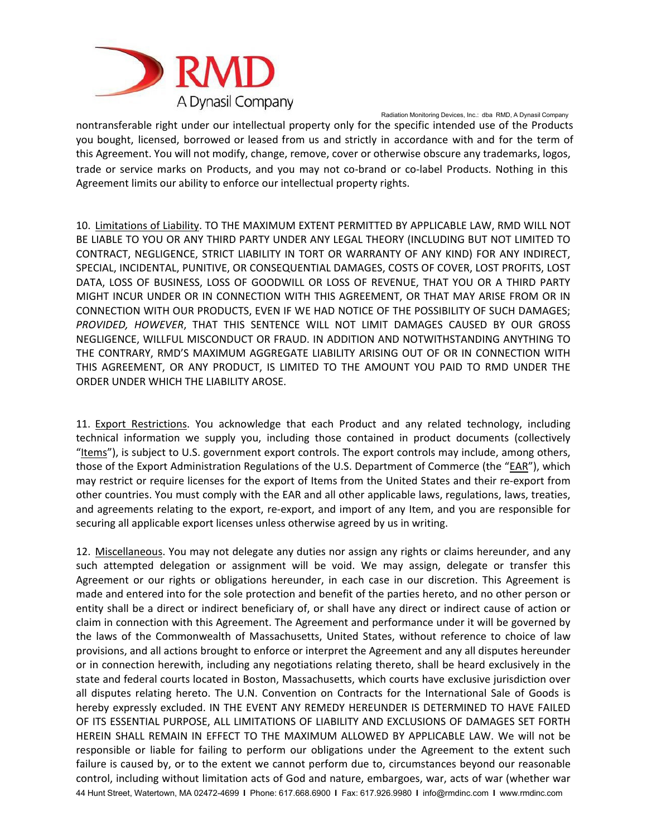

nontransferable right under our intellectual property only for the specific intended use of the Products you bought, licensed, borrowed or leased from us and strictly in accordance with and for the term of this Agreement. You will not modify, change, remove, cover or otherwise obscure any trademarks, logos, trade or service marks on Products, and you may not co-brand or co-label Products. Nothing in this Agreement limits our ability to enforce our intellectual property rights.

10. Limitations of Liability. TO THE MAXIMUM EXTENT PERMITTED BY APPLICABLE LAW, RMD WILL NOT BE LIABLE TO YOU OR ANY THIRD PARTY UNDER ANY LEGAL THEORY (INCLUDING BUT NOT LIMITED TO CONTRACT, NEGLIGENCE, STRICT LIABILITY IN TORT OR WARRANTY OF ANY KIND) FOR ANY INDIRECT, SPECIAL, INCIDENTAL, PUNITIVE, OR CONSEQUENTIAL DAMAGES, COSTS OF COVER, LOST PROFITS, LOST DATA, LOSS OF BUSINESS, LOSS OF GOODWILL OR LOSS OF REVENUE, THAT YOU OR A THIRD PARTY MIGHT INCUR UNDER OR IN CONNECTION WITH THIS AGREEMENT, OR THAT MAY ARISE FROM OR IN CONNECTION WITH OUR PRODUCTS, EVEN IF WE HAD NOTICE OF THE POSSIBILITY OF SUCH DAMAGES; *PROVIDED, HOWEVER*, THAT THIS SENTENCE WILL NOT LIMIT DAMAGES CAUSED BY OUR GROSS NEGLIGENCE, WILLFUL MISCONDUCT OR FRAUD. IN ADDITION AND NOTWITHSTANDING ANYTHING TO THE CONTRARY, RMD'S MAXIMUM AGGREGATE LIABILITY ARISING OUT OF OR IN CONNECTION WITH THIS AGREEMENT, OR ANY PRODUCT, IS LIMITED TO THE AMOUNT YOU PAID TO RMD UNDER THE ORDER UNDER WHICH THE LIABILITY AROSE.

11. Export Restrictions. You acknowledge that each Product and any related technology, including technical information we supply you, including those contained in product documents (collectively "Items"), is subject to U.S. government export controls. The export controls may include, among others, those of the Export Administration Regulations of the U.S. Department of Commerce (the "EAR"), which may restrict or require licenses for the export of Items from the United States and their re-export from other countries. You must comply with the EAR and all other applicable laws, regulations, laws, treaties, and agreements relating to the export, re-export, and import of any Item, and you are responsible for securing all applicable export licenses unless otherwise agreed by us in writing.

44 Hunt Street, Watertown, MA 02472-4699 **I** Phone: 617.668.6900 **I** Fax: 617.926.9980 **I** [info@rmdinc.com](mailto:info@rmdinc.com) **I** [www.rmdinc.com](http://www.rmdinc.com/) 12. Miscellaneous. You may not delegate any duties nor assign any rights or claims hereunder, and any such attempted delegation or assignment will be void. We may assign, delegate or transfer this Agreement or our rights or obligations hereunder, in each case in our discretion. This Agreement is made and entered into for the sole protection and benefit of the parties hereto, and no other person or entity shall be a direct or indirect beneficiary of, or shall have any direct or indirect cause of action or claim in connection with this Agreement. The Agreement and performance under it will be governed by the laws of the Commonwealth of Massachusetts, United States, without reference to choice of law provisions, and all actions brought to enforce or interpret the Agreement and any all disputes hereunder or in connection herewith, including any negotiations relating thereto, shall be heard exclusively in the state and federal courts located in Boston, Massachusetts, which courts have exclusive jurisdiction over all disputes relating hereto. The U.N. Convention on Contracts for the International Sale of Goods is hereby expressly excluded. IN THE EVENT ANY REMEDY HEREUNDER IS DETERMINED TO HAVE FAILED OF ITS ESSENTIAL PURPOSE, ALL LIMITATIONS OF LIABILITY AND EXCLUSIONS OF DAMAGES SET FORTH HEREIN SHALL REMAIN IN EFFECT TO THE MAXIMUM ALLOWED BY APPLICABLE LAW. We will not be responsible or liable for failing to perform our obligations under the Agreement to the extent such failure is caused by, or to the extent we cannot perform due to, circumstances beyond our reasonable control, including without limitation acts of God and nature, embargoes, war, acts of war (whether war